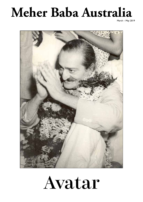# **Meher Baba Australia**

March – May 2019



# **Avatar**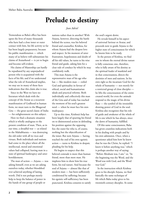### **Prelude to destiny**

*Jean Adriel*

Tremendous as Baba's effect has been upon the lives of many thousands who have had a close inner or outer contact with him, his life activity so far has been largely preparatory, because his public manifestation — which many of us believe will substantiate his claims of Avatarhood — is yet to begin and become self-evident.

His claims of Mastership can hardly be repudiated by any unprejudiced person who is acquainted with the facts of his life; and if we understand what the role of Avatarhood implies, we may see in many of these facts indications that this claim also is true.

Since in the West we have no literature which deals with the concept of the Avatar as a recurrent manifestation of Godhood in human form, we must turn to the Bhagavad Gita — the great sacred classic of India — for enlightenment on this subject.

Here we find a dramatic situation which is wholly analogous to the present condition of man. Then, as in our time, a dreadful war — as related to the Mahabharata — was destroying the old order with all its vices and virtues. Both individuals and nations had come to the place where all the intellectual, moral and emotional values had collapsed, leaving man in a state of spiritual bankruptcy and utter bewilderment.

The man of action — Arjuna — was asking himself, even as we are asking ourselves today, whether bloodshed ever achieved anything of lasting worth. Did it not perhaps merely help to keep the balance of power in the hands of one group of people or

nations rather than in another? With Arjuna, however, directing the battle behind the scenes, was his beloved friend and counsellor, Krishna, for whom Arjuna had the deepest love and respect. In his moment of utter frustration, hopelessness and doubt of all his old values, he turns to his wise friend and guide, asking him for a clear rule of conduct by which he may confidently walk.

This man Arjuna is the representative man of his age who has — like modern man — exiled God and spirituality in favour of ethical, social and humanitarian ideals and practical reforms. Both individually and collectively this man of the Gita and of today has reached the moment of his soul's greatest need — when he must face his own inadequacy.

Up to this time, Krishna's help has been largely that of spurring his friend on to disinterested action in defending his position against the opposing foe; the outer foe who is, of course, nothing but the objectification of the inner. But now Arjuna — having reached the end of his own egoistic action — turns to Krishna in despair, pleading for his help.

He begins to suspect that this beloved comrade is more than human friend, more than mere man. He implores him to show him his true form, his real nature. And because the soul of Arjuna — almost like that of modern man — has been sufficiently conditioned by suffering; because his egoistic self-sufficiency has been punctured, Krishna consents to satisfy the soul's urgent desire.

He reveals himself in his aspect of universal Saviour or Avatar, and proceeds now to guide Arjuna to the higher state of consciousness for which he knows him to be ready.

In the person of Krishna, we find one in whom the eternal divine nature is fully conscious; one, therefore, who is fully aware of his destiny as the spiritual leader of mankind and in that consciousness, directs the destinies of men and nations. In his own right as the incarnate God for the whole of humanity — not merely for a restricted group of close disciples he lifts the consciousness of the entire created world, for even the animals respond to the magic of his divine flute — the symbol of the irresistible drawing power of God in the soul. Krishna also recognizes that his role of guide and awakener of the whole of life is one which he has always, since the dawn of humanity, fulfilled.

Of this same consciousness, Baba has given countless indications both in his dealing with people and by his own admission. Once, when a questioner asked him how he knew that he was the Christ, he replied: "I knew it before anything was," which is perhaps another way of saying: "Before Abraham was, I am;" or, "In the beginning was the Word, and the Word was with God, and the Word was God."

In the instruction which Krishna gives to his disciple Arjuna, we find basically the same technique of life which Baba today gives to his twentieth-century disciples. At some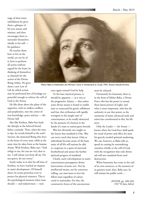stage of their inner unfoldment he gives them a glimpse of his true nature and mission, and then encourages them to surrender themselves wholly to his will his guidance.

He teaches them how to live in the world, yet not be of it; how to perform all action without regard for the fruits, by thinking of themselves as channels for the action of the Divine Being within. He gives them a new Law of Life by which action



Meher Baba at Feldmeilen, the Mertens' home in Switzerland, 6-15 July 1934. Avatar's Abode Archive.

may be performed free of bondage yet powerful enough to achieve the will of God or the Avatar.

He lifts them above the plane of the opposites, with its endless conflicts and perplexities, into the center of true knowledge, peace and joy — the Divine Self.

Also like Krishna, Baba first leads the disciple as the beloved friend, father, comrade. Then, when the time is ripe, he reveals himself as the soul's Saviour, the immortal Being who lives in the heart of every man, while at the same time he takes form as the human Avatar. With Krishna, Baba says: "Seek refuge in me, for you are very dear to me. I will release you from all sin. Do not grieve; do not worry."

Surely today as in that far-off time of Krishna, we have reached an impasse in man's development. Of himself alone, he seems powerless even to protect his physical existence. This is the psychological moment when man should — and indeed must — turn

once again toward God for help.

To the least mystical person, it should be apparent — as it was to the pragmatist, Arjuna — that unless some divine means is found to enable man to transcend his greed, selfishness and fear, this civilization will rapidly retrogress to the jungle state of consciousness, or be totally destroyed by the pressure of a button in the hands of a man or nation gone berserk.

War has obviously not taught us the lesson that mankind is One. War can never teach that lesson. Only as individuals become aware of the basic unity of all life will nations be able to cooperate in a spirit of universal brotherhood and assure the further spiritual progress of mankind.

Clearly, such a development in man's consciousness presupposes divine intervention of some sort. Not by intellectual means, not by conscious willing, can man learn to love his fellow-man regardless of colour, creed or nationality. For this, the constructive forces of the unconscious

must be released.

Fortunately for humanity there is, in the form of Meher Baba, a Divine Force who has the power to arouse these latent powers of Light; and what is more important, who has the authority to use that power, as the testimony of many advanced souls and saints has corroborated in this, his life story.

Only the Leader — the Avatar knows when the God-force shall speak his word of power and effect for man his gravely needed spiritual awakening. We can, however, as Baba tells us, speed its coming by surrendering ourselves wholly to the will of God, with the recognition that only divine aid will save mankind from total destruction.

When humanity has come to the end of its own resources, at the moment of its greatest need, then, Baba says, he will initiate his public work….

> *AVATAR, pp. 266-269, 1947 © Jean Adriel.*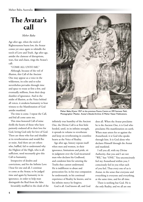### **The Avatar's call**

*Meher Baba*

Age after age, when the wick of Righteousness burns low, the Avatar comes yet once again to rekindle the torch of Love and Truth. Age after age, amidst the clamour of disruptions, wars, fear and chaos, rings the Avatar's call:

"COME ALL UNTO ME."

Although, because of the veil of illusion, this Call of the Ancient One may appear as a voice in the wilderness, its echo and re-echo nevertheless pervades through time and space to rouse at first a few, and eventually millions, from their deep slumber of ignorance. And in the midst of illusion, as the Voice behind all voices, it awakens humanity to bear witness to the Manifestation of God amidst mankind.

The time is come. I repeat the Call, and bid all come unto me.

This time-honored Call of mine thrills the hearts of those who have patiently endured all in their love for God, loving God only for love of God. There are those who fear and shudder at its reverberations and would flee or resist. And there are yet others who, baffled, fail to understand why the Highest of the High, who is allsufficient, need necessarily give this Call to humanity.

Irrespective of doubts and convictions, and for the Infinite Love I bear for one and all, I continue to come as the Avatar, to be judged time and again by humanity in its ignorance, in order to help man distinguish the Real from the false.

Invariably muffled in the cloak of the



Meher Baba, 8 June 1957 at the previous Poona Centre at 399 Somwar Peth. Photographer: Meelan. Avatar's Abode Archive. © Meher Nazar Publications.

infinitely true humility of the Ancient One, the Divine Call is at first little heeded, until, in its infinite strength, it spreads in volume to reverberate and keep on reverberating in countless hearts as the Voice of Reality.

Age after age, history repeats itself when men and women, in their ignorance, limitations and pride, sit in judgment over the God-incarnated man who declares his Godhood, and condemn him for uttering the Truths they cannot understand. He is indifferent to abuse and persecution for, in his true compassion he understands, in his continual experience of Reality he knows, and in his infinite mercy he forgives.

God is all. God knows all, and God

does all. When the Avatar proclaims he is the Ancient One, it is God who proclaims His manifestation on earth. When man utters for or against the Avatarhood, it is God who speaks through him. It is God alone who declares Himself through the Avatar and mankind.

I tell you all, with my Divine Authority, that you and I are not "WE," but "ONE." You unconsciously feel my Avatarhood within you; I consciously feel in you what each of you feel. Thus every one of us is Avatar, in the sense that everyone and everything is everyone and everything, at the same time, and for all time.

There is nothing but God. He is the only Reality, and we all are one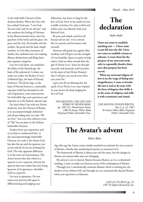in the indivisible Oneness of this absolute Reality. When the One who has realized God says, "I am God. You are God, and we are all one," and also awakens this feeling of Oneness in his illusion-bound selves, then the question of the lowly and the great, the poor and the rich, the humble and the modest, the good and the bad, simply vanishes. It is his false awareness of duality that misleads man into making illusory distinctions and filing them into separate categories.

Love for God alone can annihilate the falsity of the limited ego, the basis of life ephemeral. It alone can make one realize the Reality of one's Unlimited Ego, the basis of Eternal Existence. The divine Ego, as the basis of Eternal Existence, continually expresses itself; but shrouded in the veil of ignorance, man misconstrues his Indivisible Ego and experiences and expresses it as the limited, separate ego.

Pay heed when I say with my Divine Authority that the Oneness of Reality is so uncompromisingly unlimited and all-pervading that not only "We are One," but even this collective term of "We" has no place in the Infinite Indivisible Oneness.

Awaken from your ignorance and try at least to understand that, in the uncompromisingly Indivisible Oneness, not only is the Avatar God, but also the ant and the sparrow, just as one and all of you are nothing but God. The only apparent difference is in the states of consciousness. The Avatar knows that that which is a sparrow is not a sparrow, whereas the sparrow does not realize this and, being ignorant of its ignorance, identifies itself as a sparrow.

Live not in ignorance. Do not waste your precious life-span in differentiating and judging your

fellowmen, but learn to long for the love of God. Even in the midst of your worldly activities, live only to find and realize your true identity with your Beloved God.

Be pure and simple, and love all because all are one. Live a sincere life; be natural, and be honest with yourself.

Honesty will guard you against false modesty and will give you the strength of true humility. Spare no pains to help others. Seek no other reward than the gift of Divine Love. Yearn for this gift sincerely and intensely, and I promise in the name of my Divine Honesty that I will give you much more than you yearn for.

I give you all my blessing that the spark of my Divine Love may implant in your hearts the deep longing for love of God.

> *THE BELOVED, THE LIFE AND WORK OF MEHER BABA, pp. 109-111, Naosherwan Anzar, 1983 © Avatar Meher Baba Perpetual Public Charitable Trust.*

### **The declaration**

#### *Meher Baba*

**I have not come to establish anything new — I have come to put life into the old. I have not come to establish retreats or ashrams. I create them for the purpose of my universal work, only to repeatedly dissolve them once that purpose has been served.**

**When my universal religion of love is on the verge of fading into insignificance, I come to breathe life into it and to do away with the farce of dogmas that defile it in the name of religions and stifle it with ceremonies and rituals.**

*THE MOVING FINGER WRITES, Part 2, p. 12, 1967 © Avatar Meher Baba Perpetual Public Charitable Trust*

### **The Avatar's advent**

*Meher Baba*

Age after age the Avatar comes amidst mankind to maintain his own creation of illusion, thereby also awakening humanity to awareness of it.

The framework of illusion is always one and the same, but the designs in illusion are innumerable and ever-changing.

My advent is not to destroy illusion because illusion, as it is, is absolutely nothing. I come to make you become aware of the nothingness of illusion.

Through you, I automatically maintain illusion which is nothing but the shadow of my infinite Self, and through me you automatically discard illusion when you experience its falseness.

> *LIFE AT ITS BEST, pp. 73. 1957 © Sufism Reoriented, Inc.*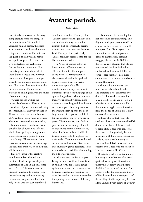### **Avataric periods**

#### *Meher Baba*

Consciously or unconsciously, every living creature seeks one thing. In the lower forms of life and in less advanced human beings, the quest is unconscious: in advanced human beings, it is conscious. The object of the quest is called by many names — happiness, peace, freedom, truth, love, perfection, Self-realization, God-realization, union with God. Essentially, it is a search for all of these, but in a special way. Everyone has moments of happiness, glimpses of truth, fleeting experiences of union with God; what they want is to make them permanent. They want to establish an abiding reality in the midst of constant change.

Avataric periods are like the springtide of creation. They bring a new release of power, a new awakening of consciousness, a new experience of life — not merely for a few, but for all. Qualities of energy and awareness, which had been used and enjoyed by only a few advanced souls, are made available for all humanity. Life, as a whole, is stepped up to a higher level of consciousness, is geared to a new rate of energy. The transition from sensation to reason was one such step; the transition from reason to intuition will be another.

This new influx of the creative impulse manifests, through the medium of a divine personality, an incarnation of God in a special sense — the Avatar. The Avatar was the first individual soul to emerge from the evolutionary and involutionary process as a Sadguru, and He is the only Avatar who has ever manifested

or will ever manifest. Through Him God first completed the journey from unconscious divinity to conscious divinity, first unconsciously became man in order consciously to become God. Through Him, periodically, God consciously becomes man for the liberation of mankind.

The Avatar appears in different forms, under different names, at different times, in different parts of the world. As His appearance always coincides with the spiritual regeneration of man, the period immediately preceding His manifestation is always one in which humanity suffers from the pangs of the approaching rebirth. Man seems more than ever enslaved by desire, more than ever driven by greed, held by fear, swept by anger. The strong dominate the weak; the rich oppress the poor; large masses of people are exploited for the benefit of the few who are in power. The individual, who finds no peace or rest, seeks to forget himself in excitement. Immorality increases, crime flourishes, religion is ridiculed. Corruption spreads throughout the social order. Class and national hatreds are aroused and fostered. Wars break out. Humanity grows desperate. There seems to be no possibility of stemming the tide of destruction.

At this moment the Avatar appears. Being the total manifestation of God in human form, He is like a gauge against which man can measure what he is and what he may become. He trues the standard of human values by interpreting them in terms of divinely human life.

He is interested in everything but not concerned about anything. The slightest mishap may command His sympathy; the greatest tragedy will not upset Him. He is beyond the alternations of pain and pleasure, desire and satisfaction, rest and struggle, life and death. To Him they are equally illusions that He has transcended, but by which others are bound, and from which He has come to free them. He uses every circumstance as a means to lead others toward Realization.

He knows that individuals do not cease to exist when they die and therefore is not concerned over death. He knows that destruction must precede construction, that out of suffering is born peace and bliss, that out of struggle comes liberation from the bonds of action. He is only concerned about concern.

In those who contact Him, He awakens a love that consumes all selfish desire in the flame of the one desire to serve Him. Those who consecrate their lives to Him gradually become identified with Him in consciousness. Little by little their humanity is absorbed into His divinity, and they become free. Those who are closest to Him are known as His Circle.

The Avatar awakens contemporary humanity to a realization of its true spiritual nature, gives Liberation to those who are ready, and quickens the life of the spirit in His time. For posterity is left the stimulating power of His divinely human example — of the nobility of a life supremely lived, of a love unmixed with desire, of a power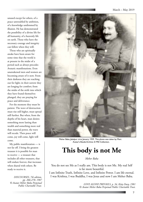unused except for others, of a peace untroubled by ambition, of a knowledge undimmed by illusion. He has demonstrated the possibility of a divine life for all humanity, of a heavenly life on earth. Those who have the necessary courage and integrity can follow when they will.

Those who are spiritually awake have been aware for some time that the world is at present in the midst of a period such as always precedes Avataric manifestations. Even unawakened men and women are becoming aware of it now. From their darkness they are reaching out for light; in their sorrow they are longing for comfort; from the midst of the strife into which they have found themselves plunged, they are praying for peace and deliverance.

For the moment they must be patient. The wave of destruction must rise still higher, must spread still further. But when, from the depths of his heart, man desires something more lasting than wealth and something more real than material power, the wave will recede. Then peace will come, joy will come, light will come.

My public manifestation — is not far off. I bring the greatest treasure it is possible for man to receive — a treasure that includes all other treasures, that will endure forever, that increases when shared with others. Be ready to receive it.

*DISCOURSES, 7th edition, pp. 266-270, 1987 © Avatar Meher Baba Perpetual Public Charitable Trust.*



Meher Baba, Jabalpur circa January 1939. This photo was taken by Mani. Avatar's Abode Archive. © MSI Collection.

# **This body is not Me**

*Meher Baba*

You do not see Me as I really am. This body is not Me. My real Self is far more beautiful.

I am Infinite Truth, Infinite Love, and Infinite Power. I am life eternal. I was Krishna, I was Buddha, I was Jesus and now I am Meher Baba.

> *LOVE ALONE PREVAILS, p. 34, Kitty Davy, 1981 © Avatar Meher Baba Perpetual Public Charitable Trust.*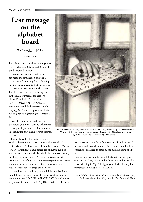### **Last message on the alphabet board**

### 7 October 1954 *Meher Baba*

There is no reason at all for any of you to worry. Baba was, Baba is, and Baba will also be eternally existent.

Severance of external relations does not mean the termination of internal connections. It was only for establishing the internal connections that the external contacts have been maintained till now. The time has now come for being bound in the chain of internal connections. HENCE EXTERNAL CONTACT IS NO LONGER NECESSARY. It is possible to establish the internal link by obeying Baba's orders. I give you all My blessings for strengthening these internal links.

I am always with you and I am not away from you. I was, am and will remain eternally with you, and it is for promoting this realization that I have severed external contact.

This will enable all persons to realize

Truth by being bound to each other with internal links.

Oh, My lovers! I love you all. It is only because of My love for My creation that I have descended on Earth. Let not your hearts be torn asunder by My declarations concerning the dropping of My body. On the contrary, accept My Divine Will cheerfully. You can never escape from Me. Even if you try to escape from Me, it is not possible to get rid of Me. Therefore have courage and be brave.

If you thus lose your heart, how will it be possible for you to fulfill the great task which I have entrusted to you? Be brave and spread MY MESSAGE OF LOVE far and wide to all quarters, in order to fulfill My Divine Will. Let the words



Meher Baba's hands using the alphabet board in the cage room at Upper Meherabad on 30 July 1941 before going into seclusion on 1 August 1941. This photo was taken by Padri. Avatar's Abode Archive. © MSI Collection.

'BABA, BABA' come forth from every nook and corner of the world and from the mouth of every child, and let their ignorance be reduced to ashes by the burning flame of My Love.

Come together in order to fulfill My Will by taking your stand on TRUTH, LOVE and HONESTY, and be worthy of participating in My Task. I give you all My blessings for spreading MY MESSAGE OF LOVE.

*PRACTICAL SPIRITUALITY, p. 216, John A. Grant, 1985 © Avatar Meher Baba Perpetual Public Charitable Trust.*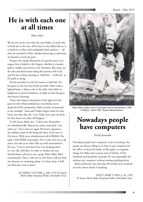### **He is with each one at all times**

### *Mani Irani*

We do not need to see what the year holds; we need only to hold fast to the Seer. All we have to do, Baba tells us, is to hold on to Him with unshakable faith and love — all who are attached to Him, whether deserving or otherwise, are bound to reach the goal.

He gave the simple illustration of a goods train: every wagon that is linked to the Engine, whether it contains gold or rubble, gets borne to the Terminus. But many are the jolts and distractions along this journey with God, and He has to keep warning us "hold fast — hold fast" as He pulls us along.

He has provided us with the means to hold fast. He has given us the love that feeds our faith. Faith is like a lighted lamp, it shines only in the dark. And while its brightness is proof of darkness, its light reveals His grace that keeps it burning.

Those who deprive themselves of the light of God's grace by their blind unbelief are nevertheless never deprived of His compassion. Baba recently commented to the mandali: "Jesus said 'Father forgive them for they know not what they do.' I say 'Father have pity on them for they know not what will happen.'"

To His lovers, Baba says: "I alone Am. Remember me wholeheartedly. Repeat my name constantly. I am with you." Over and over again His lovers experience the sublime truth of His being the Slave of the love of His lovers. With every wholehearted call of BABA!, His reply I AM HERE materializes. He is with each one at all times, but asks us to wake Him up with remembrance. He says, "I am in each heart but I am sleeping there. It is my old, old habit. In order to awaken me you should always call out to me, saying 'Baba, Baba, Baba' continuously. Then I, who am in your heart, will not find any pleasure in remaining asleep. Let alone sleep, I shall not find time even to doze!"

> *82 FAMILY LETTERS, p. 300, 1976 © Avatar Meher Baba Perpetual Public Charitable Trust.*



Meher Baba sitting in front of the pipal tree He had planted in 1930 in Madras. 4 April 1947. Avatar's Abode Archive.

# **Nowadays people have computers**

### *Eruch Jessawala*

Nowadays people have computers to do everything. You people are always telling us we have to get computers for the office, to keep the books, to file papers, to organize things, but Baba used to keep track of all this, of the hundreds and hundreds of people He was responsible for, without any computer, without writing anything down.

Baba's perfection was such that He would never overlook even the tiniest detail of anything.

*THAT'S HOW IT WAS, p. 95, 1995 © Avatar Meher Baba Perpetual Public Charitable Trust.*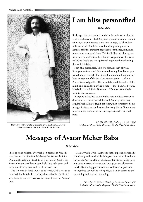#### Meher Baba Australia **‑**



Mani labelled this photo as being taken at the Prem Ashram in Meherabad in the 1920s. Avatar's Abode Archive.

# **I am bliss personified**

*Meher Baba*

Really speaking, everywhere in the entire universe is bliss. It is all bliss, bliss and bliss! But poor, ignorant mankind cannot enjoy it, as man does not know how to enjoy it. The whole universe is full of infinite bliss, but disregarding it, man hankers after the transient happiness of affluence, influence, possessions, name and fame. This is all false and illusory, yet man runs only after this. It is due to his ignorance of what is real. One should try to acquire real happiness by eschewing that which is false.

I am bliss personified. This five foot, six inch physical form you see is not real. If you could see my Real Form, you would not be yourself. The limited human mind has not the least conception of the Sat-Chit-Ananda state — Infinite Power-Knowledge-Bliss. This state is beyond the realm of the mind. It is called the Nirvikalp state — the "I am God" state. Nirvikalp is the Infinite Bliss state of Paramatma or God's Infinite Consciousness.

Everyone is destined to attain this state and it is everyone's duty to make efforts toward that end. Some persons may acquire Realization today; if not today, then tomorrow. Some may get it after years and some after many births. But at some time or other, one and all have to experience this elevated state.

> *LORD MEHER, Online, p.1039, 1986 © Avatar Meher Baba Perpetual Public Charitable Trust.*

### **Messages of Avatar Meher Baba**

### *Meher Baba*

I belong to no religion. Every religion belongs to Me. My own personal religion is of My being the Ancient Infinite One and the religion I teach to all is of love for God. This love can be practised by anyone, high, low, rich, poor, and every one of every caste and creed can love God.

God is not to be lured, but is to be loved. God is not to be preached, but is to be lived. Only those who live the life of love, honesty and self-sacrifice, can know Me as the Ancient One.

I can say with Divine Authority that I experience eternally, consciously and continually, being one with you all, and one in you all. Any worship or obeisance done to any deity ... to any saint, master, advanced soul or yogi, eventually comes to Me. By offering pure unadulterated love to anyone and to anything, you will be loving Me, as I am in everyone and everything and beyond everything.

*WHEN HE TAKES OVER, p. 3, ed Bal Natu 1988 © Avatar Meher Baba Perpetual Public Charitable Trust.*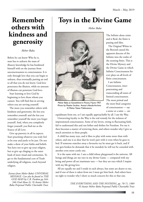# **Remember others with kindness and generosity**

### *Meher Baba*

Before he can know Who he is, man has to unlearn the mass of illusory knowledge he has burdened himself with on the journey from unconsciousness to consciousness. It is only through love that you can begin to unlearn, thus eventually putting an end to all that you do not know. God-love penetrates the illusion, while no amount of illusion can penetrate God-love.

Start learning to love God by beginning to love those whom you cannot. You will find that in serving others you are serving yourself.

The more you remember others with kindness and generosity, the less you remember yourself; and the less you remember yourself the more you forget yourself. And, when you completely forget yourself, you find me as the Source of all Love.

Give up parrotry in all its aspects. Start practising whatever you truly feel to be true and justly to be just. Do not make a show of your faiths and beliefs. You have not to give up your religion, but to give up clinging to the outer husk of mere ritual and ceremonies. To get to the fundamental core of Truth underlying all religions, reach beyond religion.

*Extract from Meher Baba's UNIVERSAL MESSAGE. Can also be found in THE GOD MAN by C.B. Purdom pp 344- 346 (God Alone Is). © Avatar Meher Baba Perpetual Public Charitable Trust.*

### **Toys in the Divine Game**

*Meher Baba*



Meher Baba at Ganeshkind in Poona, 9 June 1957. Photo by Meelan Studios. Avatar's Abode Archive. © Meher Nazar Publications.

The Infinite alone exists and is Real; the finite is passing and false.

The Original Whim in the Beyond caused the apparent descent of the Infinite into the realm of the seeming finite. This is the Divine Mystery and the Divine Game in which Infinite Consciousness for ever plays on all levels of finite consciousness.

I am Infinite Consciousness, interpenetrating and transcending all states of limited consciousness. The most primal and the most final categories of consciousness — say a stone or a saint — are

equidistant from me, so I am equally approachable by all. I am the Way.

Unwavering loyalty to the Way is the real remedy for the sickness of impressioned consciousness. Some of my lovers, owing to fluctuating faith, fail to understand this and run hither and thither for Freedom. For me it then becomes a matter of retrieving them, and others wonder why I give so much attention to these people.

A child has many toys, and it likes to play with some more than with others, and one is so dear that he won't part with it even when he goes to bed. If someone snatches away a favourite toy he must get it back, and if one gets broken he demands that it be mended; he will not be consoled with another even more costly one.

It is the same with me. I am a child whose playground is the universe. All beings and things are my toys in my divine Game — compared with my being and power all are inanimate toys — but they are toys which I inspire with my life-giving love.

All are equally me and I reside in each always, but some are dearer to me, and if one of these is taken from me I must get him back. And others have no right to wonder why I show so much concern for this or that one.

> *THE EVERYTHING AND THE NOTHING, pp. 70-71, 1989 © Avatar Meher Baba Perpetual Public Charitable Trust*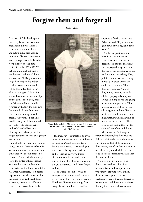# **Forgive them and forget all**

Criticism of Baba by the press was a regular occurrence those days. Behind it was Colonel Irani, who was quite clever and active in his propaganda campaign. He even went so far as to try to persuade Baily to his viewpoint by bribing him.

On December 27th, (1928) Baba found out about Baily's involvement with the Colonel and warned, "If Baily succumbs to graft to support his habits of wine, women and song, he will be like Judas. But I won't allow it to happen. I love him and will see that he does not slip off the path." Soon after, Baba sent Vishnu to Poona, and he returned with Baily the next day. Baily sought Baba's forgiveness with tears streaming down his cheeks. He promised Baba he would change his habits and said he would write a fitting reply to the Colonel's allegations. Hearing this, Baba explained at length about the current antagonism against him.

You should not hate him (Colonel Irani); the man deserves to be pitied. We should not act in the same way as he does. We should harbor no bitterness for his criticism nor try to get the better of him. Instead we should patiently tolerate his obstructive tactics. How beautiful it was when Christ said, "If a person slaps you on one cheek, offer him the other." This is the real thing; otherwise, there is no difference between the Colonel and Baily.

*Meher Baba*



Meher Baba at Toka 1928, during a fast. This photo was taken by Raosaheb Afseri. Avatar's Abode Archive. © MSI Collection.

If a man curses your father and you curse his mother, what is the difference between you? Such opponents are friends not enemies. They teach you the lesson of being calm, patient and forbearing in every adverse circumstance – in the midst of all provocation. They thereby render you the greatest service. So forbear, forgive and forget.

Your attitude should serve as an example of forbearance and patience to the world. Therefore, don't become like them. Tolerate everything, face every obstacle and learn to swallow

anger. It is for this reason that Kabir has said, "If you want to gulp down anything, gulp down wrath."

You have a great lesson to learn from this opposition. Learn that those who spread deceitful lies about our actions and propagandize against us are thereby giving importance to our work without our asking. They publicize our cause, advertising it widely in a way which we could not have done. This is their service to us. Not only this, but by carrying on with all their propaganda, they are always thinking of me and giving me so much importance. This preoccupation of theirs is thus advantageous to them. You serve me in a favorable manner; they in an unfavourable manner, but it is service nevertheless. There is no doubt that in this way they are thinking of me and that is what matters. Their angle of

vision is different, but they have the right to think and express their views and opinions. But while expressing their minds, too often they lose control over their tongues which leads them to such extreme ridicule which makes them scandalize us.

You may resent it and say that this is their weakness. But if you believe this and still adopt the same vituperative attitude toward them, does this not expose your own weakness? There is then no difference between you and them! And it shows that my instructions, discourses and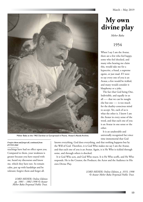# **My own divine play**

*Meher Baba* 

### 1954

When I say I am the Avatar, there are a few who feel happy, some who feel shocked, and many who hearing me claim this, would take me for a hypocrite, a fraud, a supreme egoist, or just mad. If I were to say every one of you is an Avatar, a few would be tickled, and many would consider it blasphemy or a joke.

The fact that God being One, Indivisible, and equally in us all –— that we can be naught else but one —– is too much for the duality-conscious mind to accept. Yet, each of us is what the other is. I know I am the Avatar in every sense of the word, and that each one of you is an Avatar in one sense or the other.

It is an unalterable and universally recognized fact since time immemorial that God

Meher Baba at the 1965 Darshan at Guruprasad in Poona. Avatar's Abode Archive.

#### *Forgive them and forget all, continued from previous page*

teachings have had no effect upon you. Compared to them, your weakness is greater because you have stayed with me, heard my discourses and know me, which they have not. So remain calm, put up with hardships and be tolerant; forgive them and forget all.

> *LORD MEHER, Online Edition pp. 1001 – 1002 1998 © Avatar Meher Baba Perpetual Public Trust.*

knows everything, God does everything, and that nothing happens but by the Will of God. Therefore, it is God Who makes me say I am the Avatar, and that each one of you is an Avatar. Again, it is He Who is tickled through some, and through others is shocked.

It is God Who acts, and God Who reacts. It is He Who scoffs, and He Who responds. He is the Creator, the Producer, the Actor and the Audience in His own Divine Play.

> *LORD MEHER, Online Edition, p. 3555, 1998 © Avatar Meher Baba Perpetual Public Trust.*

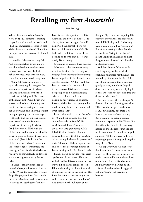# **Recalling my first** *Amartithi*

When I first attended an *Amartithi* it was in 1973. I remember meeting people from all around the world and I had this immediate recognition that Meher Baba had awakened Himself in them just as he had awakened Himself in me.

It was like Baba was meeting Baba. And everyone felt it; it was like we had all tumbled into an alternative universe, one that was filled with Baba's Presence. Baba was our map, our guide, and our travel companion.

Mani, Baba's sister, summed it up nicely in saying that we gave the *mandali* an experience of Baba as the One in the many, while their experience of living with Baba was of the many in the One. Eruch was amazed at the depth of longing we had in our hearts having never met Baba before and only knowing of Him through a photograph or a message.

I thought that our experience must have been akin to the Pentecost experience of the early Christians: "And they were all filled with the Holy Ghost, and began to speak with other tongues, as the Spirit gave them utterance" (Acts 2:4). Except the Holy Ghost was Baba's Presence and the "other tongues" was simply the language of love for the God-Man - which we all miraculously understood and shared – given to us by Meher Baba.

In a real sense my experience at *Amartithi* was proof to me of Eruch's words: "When the God-Man (Avatar) drops His physical form God simply sheds the Man-form and He continues to exercise His attributes of infinite

#### *Ross Keating*

Love, Mercy, Compassion, etc. His Authority and Power do not cease to directly function through Him – He being God the Eternal". For I felt Baba was fully active in my life. He had awakened Himself in me. I had nothing to do with it at all – it was totally Baba's doing.

Overnight, in a sense, I had become a Baba lover. I also remember being struck at the time with the original message from Meherazad announcing Baba's dropping of His physical body on 31st January, 1969 for it said that Baba was now – "to live eternally in the hearts of His lovers". He was not going off to a blissful heavenly existence, as I was conditioned to believe by my religious upbringing. Instead, Meher Baba was going to be resident in my heart. But I wondered what that meant?

Francis also made it to the *Amartithi* in '73 and I happened to hear him give a short talk in *Mandali* Hall at Meherazad. Francis's words, as usual, were very grounding. While it is difficult to imagine his sense of personal loss, as with all the *mandali*, of not having the beautiful presence of their Beloved to fill their days, he was able to see the deeper significance of Baba's putting aside His physical body.

Francis began by saying: "Four years ago Beloved Baba covered His form with the veil of His compassion so that we would be led (or driven) to seek Him in the reality of Himself instead of clinging to Him in the Shape of His Love. He came so that we might see and He went so that we could know". And then came the full force of his

thought: "By His act of dropping His body He showed that He expected us to seek His Reality and He challenged us to measure up to His Expectation". Francis was making it clear that the idea of Baba "living in our hearts" meant a spiritual challenge, and not the guarantee of some kind of readymade, inner peace.

And then Francis followed with a striking image of Baba, which poetically reinforced his thought: "He was a drop of wine on the rim of the cup of our carousing that we desired greatly to taste, but which slipped down into the body of the ruby liquid so that we could not taste one drop but drink the whole cup".

But how to meet this challenge? At the end of his talk Francis gave a clue: "There can be no grief on the dust road, only longing. But there is no longing, because we have certainty. But we cannot be certain because everything depends on His Whim. But this Whim is Himself, His own very nature: in the likeness of that He has made us – selves of Himself as drops in an ocean. All that we have to do is to stop singing our self-song and sing the song of His Name.

"His departure was His sign to us that it was time for us to depart from ourselves. His departing in silence was so that we would listen in the stillness of our hearts for His Word of words. And the victory will always by His."

As usual in those days, I staggered out of *Mandali* Hall needing to breathe.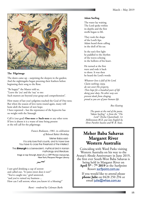

#### **The Pilgrimage**

The dawn came up – surprising the sleepers in the garden; And the nightingales began preening their feathers before beginning their song to the Rose.

"Be happy!" the Master told us, "Leave the 'yea' and the 'nay' to me: Such matters are beyond your grasp and comprehension".

How many of last year's pilgrims reached the Goal of One-ness; But when the season of love turns round again, many will hoist aloft the banner of new hope.

I have repented – but the repentance of the hypocrite has no weight with the Simurgh

Call it (our goal) **One-ness** or **Such-ness** or any other term If love is absent it is a waste of time being present at the roll call for the pilgrimage.

> *Francis Brabazon, 1981, in celebration of Beloved Baba's Birthday.*

Meher Baba said - It is only love that counts, and to have love You have to cross the threshold of the intellect.

The *Simurgh* is a benevolent, mythical bird in Iranian mythology and literature.

Image at top: Simurgh, detail of a c.1297 Persian manuscript, New York, Pierpont Morgan Library.



I saw grief drinking a cup of sorrow and called out, "It tastes sweet does it not?" "You've caught me," grief answered, "and you've ruined my business ... How can I sell sorrow, when you know it's a blessing?"

*Rumi - rendered by Coleman Barks*

#### **Adam Surfing**

The water lay waiting. The Lord spoke within its depths and the first swells began to lift.

They took the shape of the Lord's lips. Adam heard them calling in the shell of his ear.

In the sun's first light he paddled to the rhythm of the waves echoing in the hollows of his heart.

He turned at the first wave and rode it back to shore. It was then he heard the Lord's words:

*Whatever lives is full of the Lord. Claim nothing; enjoy, do not covet His property. Then hope for a hundred years of life doing your duty. No other way can prevent deeds from clinging, proud as you are of your human life.*

*Ross Keating*

*The quote at the end of the poem, "Adam Surfing" is from the "The Lord" (Eesha-Upanishad), 1st Millennium BCE, put into English by Shree Purohit Swami and W. B. Yeats.*

### **Meher Baba Sahavas Margaret River Western Australia**

Coinciding with Ward Parks visiting Western Australia on his way to the Avatar's Abode Anniversary in June 2019, the first ever South-West Baba Sahavas is being held in Margaret River on **April 5th - 7th 2019** at the Surfpoint Resort [surfpoint.com.au](http://www.surfpoint.com.au/)

If you would like to attend please **phone Julie** on 0428 250 294 or email [julie@whae.com.au](mailto:julie%40whae.com.au?subject=)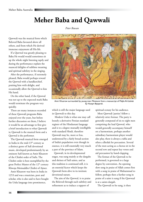### **Meher Baba and Qawwali**

#### *Peter Rowan*

Qawwali was the musical form which Beloved Baba favoured above all others, and from which He derived immense enjoyment all His life.

If a Qawwal was greatly pleasing to Baba He would would sometimes sit up the whole night listening raptly and during the performance explain the nuanced delights of sublime meaning and spiritual subtlety in the singing.

After the performance, if extremely pleased, Baba would perhaps reward the Qawwal with a handkerchief, praising him with delight, and occasionally allow the Qawwal to kiss His hand.

On the other hand, if the Qawwal was not up to the expected mark Baba would terminate the program very quickly.

There are many instances recorded of these Qawwali programs Baba enjoyed over the years, but before further discussion on them, I believe it would be an advantage to first give a brief introduction to what Qawwali is; Qawwali is the musical form and a Qawwal is the performer.

The Qawwali musical form emerged in India in the mid- $13<sup>th</sup>$  century as a distinct genre of Sufi devotional music, developed predominantly by an eminent Sufi known as Amir Khusrow of the Chishti order of Sufis. The Chishti order is best exemplified by the great Perfect Master of the 12<sup>th</sup> century Khwaja Moinuddin Chishti of Ajmer.

Amir Khusrow was born in India in 1253 and was a musician, poet and scholar, who is also said to have bought the Urdu language into prominence,



Amir Khusrow surrounded by young men. Miniature from a manuscript of Majlis Al-Usshak by Husayn Bayqarah.

which is still the major language used in Qawwali to this day.

 Modern Urdu is what one may call loosely a derivative Persian standard register of the Hindustani language and is to a degree mutually intelligible with standard Hindi, therefore Qawwali may be, more or less, understood by a fairly broad section of India's population even though in essence, it is still essentially very much a part of the province of Islam.

Qawwali, in its developmental stages, was sung mainly at the dargahs and shrines of Sufi saints, and as this tradition is continued still, it is an essential factor which keeps the Qawwali form alive in its intrinsic devotional nature.

The aim of the Qawwal, is to praise the Beloved through such subtlety and refinement as to induce a rapport of

spiritual ecstasy for his audience.

Most Qawwali 'parties' follow a relatively strict format. The party is generally composed of six to eight men comprising the lead Qawwal, who would generally accompany himself on a harmonium, perhaps another subsidiary harmonium player would also play, there is always a tabla and often a dholak for percussion. Several of the men acting as a chorus sit in the second row and repeat key verses and aid percussion by hand-clapping.

The format of the Qawwali to be performed, is governed to a large degree by convention. An opening slow song in praise of Allah comes first with a song in praise of Muhammad to follow, perhaps then a further song in praise of a saint is sung if the Qawwaal is at a saints dargah.

The Qawwali to be sung, is then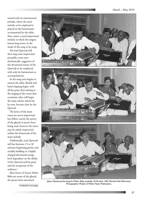started with an instrumental prelude, where the main melody to be employed is played on the harmonium accompanied by the tabla, then comes a tonal improvised melody in which the singers intone long notes, in the mode of the song to be sung.

The lead Qawwal will then sing some improvised preamble verses nonrhythmically, suggestive of the devotional nature of the Qawwali to be employed, with only his harmonium as accompaniment.

As the song now begins in earnest the tabla, dholak and hand clapping begin, with all the party then joining in the singing of the verses that constitute what will begin the main refrain which has by now, become clear by the Qawwal.

The lyrics of the main verses are never improvised but follow exactly the poetry of the ghazal or poetic form being used, however the tunes may be subtly improvised within the framework of the main melody

Traditionally, each Qawwali will last between 15 to 30 minutes beginning gently, and steadily building to a highly charged devotional energy level dependant on the ability of the Qawwal and his party and the receptivity of the audience.<sup>1</sup>

Most lovers of Avatar Meher Baba are aware of the ghazal,



the poetic form associated Jaipuri Qawaal performing for Meher Baba, probably 18 October 1963. Mandali Hall, Meherazad. Photographer: Meelan. © Meher Nazar Publications.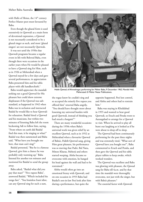with Hafiz of Shiraz, the 14<sup>th</sup> century Perfect Master poet most favoured by Baba.

Even though the ghazal form is used extensively in Qawwali as a main form of devotional expression, a Qawwal is not necessarily considered to be a ghazal singer as such, and most 'ghazal singers' are not necessarily Qawwals.

It was not until the 1950s that Qawwali programs became a regular event in life with Beloved Baba, even though there were occasions in the earlier years when He would be pleased to have a Qawwal sing for Him, such as in 1926 at Meherabad when a Qawwal stayed for a few days and gave several performances, in appreciation Baba presented him and his tabla player with silk handkerchiefs.2

Baba would appreciate the mandali seeking out a good Qawwal for His pleasure but could show extreme displeasure if the Qawwal was substandard, as happened in 1942 when Baba was in seclusion and instructed Baidul he would like to hear Qawwali for relaxation. Baidul hired a Qawwal and his musicians, but within two minutes of listening Baba left the room beckoning Adi to follow him, saying, "From where on earth did Baidul find this man, is he singing or what?" Baidul was then summoned and Baba said, "What have you brought me here, that man can't sing?"

Baidul protested, "But he is a famous Qawwal, give him a chance he was probably only warming up." Baba listened for another ten minutes and motioned for Baidul to send the group away.

Baba asked, "Baidul what did you pay that man?" "Five rupees Baba", answered Baidul, "Which included his tonga fare". "You brainless Irani idiot, can any Qawwal sing for such a sum,



Habib Qawaal, of Ahmednagar, performing for Meher Baba, 9 December 1962. Mandali Hall, Meherazad. © Meher Nazar Publications.

the rogue knew he couldn't sing and so accepted the miserly five rupees you offered him" retorted Baba angrily, "You should have thought more about lessening my universal burden with good Qawwali, instead of thinking you had struck a bargain!"3

There are many wonderful occasions during the 1950s when Baba's universal work was given relief by an excellent Qawwal, such as in 1952 at Meherabad when a favourite Qawwal of Baba's, Habib Qawwal sang, giving Him great pleasure, his performance was so moving that Padri, Bal Natu, Minoo Kharas, Meherji and others started weeping. Aloba became so overcome with emotion, he banged his head against the wall and had to be restrained.4

Aloba would often go into an emotional frenzy with Qawwali, and on one occasion in 1955 Baba had Baidul's son-in-law Pesi look after him during a performance, but quite the

opposite happened, Pesi lost control, and Aloba and others had to restrain him.<sup>5</sup>

Baba was staying in Khuldabad in 1955 and wanted to hear good Qawwali, so Eruch and Pendu went to Aurangabad to arrange for a Qawwal to visit. When he arrived to play all burst out laughing as it looked as if he were about to drop off to sleep.

The Qawwal had been continuously performing for the past three nights and was extremely tired, "What sort of Qawwal have you bought me?", Baba commented to Eruch and Pendu, and then gave the Qawwal and his tabla player tablets to keep awake, which worked wonders.

The Qawwal was excellent and Baba was glowing with pleasure, the Qawaal sang for Baba till 4a.m. and by that time the mandali were thoroughly overcome, not just with the singer, but with Baba's pleasure.<sup>6</sup>

The essential factor with Qawwali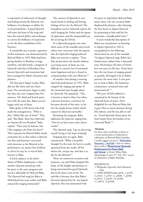is expression of refinement of thought and feeling toward the Beloved, not brilliance of technique or ability for vocal pyrotechnics. A good Qawwal will enter the heart of the song and have the natural ability and technique to convey his brilliance of expression to stir the finer sensibilities of his listeners.

A wonderful case in point, expressive of this sentiment, was demonstrated by Beloved Baba in 1959. Baba had been giving darshan in Bombay to large numbers, and afterwards, a program of Qawwali with four of Bombay's best known Qawwal's and musicians had been arranged for Baba's relaxation and pleasure.

The first party began to play, Baba did not like them and sent them away. The second party began to play but they also were stopped after five minutes. The third and fourth party met with the same fate, Baba was not happy with any of them.

Baba spoke to His lovers who had made the arrangements, "What is this, I didn't like any of them?" They said, "But Baba, these four Qawwals are famous all over Bombay!' Baba replied, "They may be famous, but I like singing to be from the heart!" This comment by Beloved Baba clearly enunciates for us that unless a Qawwal was first and foremost concerned with devotion to the Beloved in his performance, no matter how brilliant or clever he may be, it was of little interest to Baba.

A lovely adjunct to the above drama of Baba's displeasure, is that another Qawwal turned up with his party at the same program and saved it admirably for Beloved Baba. The Qawwal had sung for Baba at Meherabad four years earlier and Baba enjoyed his singing immensely!<sup>7</sup>

The content of Qawwali is very much based on feeling and freeing feelings of love for the Beloved. The metaphors used in Qawwali express the soul's longing for Union and the agony of separation, and the inexpressible joy felt in loving the Divine.

At a Qawwali program one time, when some of the mandali and several others were overcome with the rapture that the Qawwal's singing induced, Baba was moved to explain, "Tears that stream down the cheeks without you being aware of them are very difficult to control, but if restrained, more happiness and joy is found in companionship with one's Beloved."8

At another time during a moving Qawwali performance in 1957, Baba stopped the singing and spoke of the emotional state bought about by Qawwali. He explained, "This is known as *haal* or *bhav*, but when a devotee becomes a real lover, he becomes devoid of this state, in his love he simply burns within which cannot be observed outwardly."

Resuming the program, Baba addressed the Qawwal, urging him, "Now let us hear some more choice truths!".

The Qawwal sang: 'I go on deceiving myself, living in the hope of dying!'

Stopping him yet again, Baba commented, "What a beautiful thought! In this state the lover is totally uprooted from the world. All his desires die, except one, and that is to die for the Beloved."9

There are numerous occasions and instances, up until Baba dropped His body, of His delight and pleasure in being entertained by good Qawwali, but in the latter years of the 50s and 60s it became clear that Baba's favourite Qawwal by far, was Jaipuri Qawwal, who was summoned with

his party to sing before Beloved Baba many times. On one occasion Baba displayed his pleasure, after listening for four hours to Jaipuri Qawwal, by presenting to him and his five musicians, a handkerchief each.10

A most wonderful description of Baba's joy and pleasure in listening to Jaipuri Qawwal in 1962 is encapsulated in the following observation by one of the mandali, "As Jaipuri Qawwal sang, Baba's face looked more radiant than a thousand suns. His being in all states of divine love was seen on His face. None knew how the two hours of singing passed so quickly, all longed to be in Baba's presence for more time. It was pure joy to look at Baba, His luminous countenance contained wine and intoxicated all."11

700 years of Sufi tradition is contained in the beauty of the Qawwali form of music. How delightful for our Beloved Baba that it gave Him so much pleasure during His Advent, and He was able to tell us, "Good Qawwali always gives me brief respite from the burden of my Universal Work."12

#### *\*Footnote:*

For those who would like to listen to a recent performance of Qawwali in celebration of Beloved Baba's birthday, I would suggest you go to: '[Meherabad](https://www.youtube.com/user/MeherabadMoments)  [Moments' – YouTube](https://www.youtube.com/user/MeherabadMoments). Click on videos, then scroll to '**[Phenomenal Qawwali](https://www.youtube.com/watch%3Fv%3DIDJ8pe9wUZw)  [Performance by Pavan Naik](https://www.youtube.com/watch%3Fv%3DIDJ8pe9wUZw)  [and Group](https://www.youtube.com/watch%3Fv%3DIDJ8pe9wUZw)**' at Avatar Meher Baba Ahmednagar Centre 27<sup>th</sup> Feb. 2017 as part of celebration of Baba's Birthday.

#### **REFERENCES**

- 1.Wikipedia: Qawwali; Amir Khusrow; Urdu
- 2. *LORD MEHER* online p646. 3. p2292.
- 4. p3167. 5. p3767. 6. p3680. 7. p4500.
- 8. p3167. 9. p4234. 10. p5289.
- 11. p4874. 12.p5046.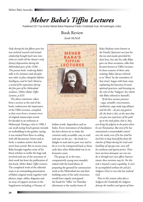# *Meher Baba's Tiffin Lectures*

Published 2017 by Avatar Meher Baba Perpetual Public Charitable Trust, Ahmednagar, India.

### Book Review

### *Sarah McNeill*

*Only during the last fifteen years has new archival research and textual scholarship brought back into view what we could call the Avatar's early literary dispensation during the Meherabad years of the 1920s … This present book, rendering Baba's talks to his intimate male disciples, now takes its place alongside Infinite Intelligence and In God's Hand as a record of his expositions during the first part of his Meherabad residence. (Meher Baba's Tiffin Lectures, p.425)*

The above statement, taken from a section at the end of the book, underscores the importance of the Tiffin Lectures, compiled as they were from a treasure trove of original manuscripts stored for decades in an outhouse at Meherazad. During a visit in 1988, I can recall seeing Eruch gesture towards an outbuilding in the garden, saying it was stacked from floor to ceiling with old documents, letters and so forth, a random archive that had never been sorted. But in recent years, Baba brought together some of his finest scholars to tackle the huge task involved and one of the outcomes of their work has been the publication of this book, *Meher Baba's Tiffin Lectures*. The completed work of the editorial team is an outstanding presentation of Baba's original words together with photos, maps, tables, diagrams and an array of support sections in the Supplement including a Glossary of



Indian words, Appendices and an Index. Every instrument of elucidation has been drawn on to make the contents easily accessible, easy to read and easy on the eye – the book is a delight to read and to pore over and to do so is to be transported back to those early days when Meherabad was in its formative years.

The group of, at the time, comparatively young men mandali, tasked with the hard labour of preparing the ground for construction work at the Meherabad site and then building some of the early structures, would have eagerly anticipated the break for "tiffin" on Thursday afternoons at the nearby home of

Kaka Shahane (now known as the Family Quarters) not just for the tea and snacks provided by their host, but also for talks Baba gave on these occasions, talks that became known as Tiffin Lectures. In these sessions of their early training, Baba (always referred to as 'Shree' by the notetakers of that time), began with basic steps explaining the function of some spiritual practices, and focusing on the role of the 'Sadguru' (by which title Baba referred to himself).

*"If all these various practices – yoga, samadhi, concentration, meditation, yoga study (yog abhyas), and the like – do you any good at all, the limit is this: at the most they can give you experience of the path up to the sixth plane; that is, they* 

*can bring the pilgrim to the point where he sees Paramatma. But even if he has maintained a commendable control over the mind, even if he has tried his level best to keep himself free from the clutches of Maya during his trials and hardships of tap-jap-vrat, even still his sanskaras and egoism persist. These have not been destroyed, nor can one do so through one's own efforts however titanic these exertions may be. For this task is beyond a man's capability. It can't be accomplished without the aid of a Sadguru (Dev) or one who has realized God.*

*Now in this context what does a Sadguru do? Gradually the Sadguru destroys the intellect and egoism of those*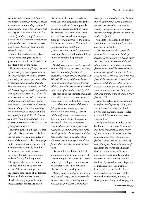*whom he desires to take with him and prepare for Realization, through a process slow but sure. In his dealings with such candidates the mind is the only part that the Sadguru spares and maintains. It is exclusively on the mind of the man to whom he wishes to impart the experience of Realization that the Sadguru works from the very beginning and on to the very end." (pps.141/142)*

In one of his earliest lectures Baba sets out some thoughts and raises questions on the subject of anxiety and the effect it has on the mind.

*The more you think of Maya, the more is your anxiety, or your eagerness for its enjoyment ('upabhog'); and the greater your anxiety, the greater your fears. What are these fears and anxieties after all? They are the refuse, the stench, the 'badbu'. Penetrating your mind, they stand in the way of Self-realization. So do not let these thoughts and anxieties accumulate, lest they become a hindrance blocking your advance. Do not feel at all anxious about anything. Do not fear anything. For what is it you are anxious of, what do you feel for or fear? All this that you see is mere 'bhas' or imagination, since the very universe itself is 'bhas', a creation of imagination. (p.73)* 

The tiffin gatherings began less than a year after Baba had started his silence and his talks were communicated by means of slates and chalk. Many pages copied down assiduously by mandali members were eventually found in the treasure trove at Meherazad. Covering what is by now, for many readers of today, familiar ground, Baba apparently chose the topic for each day's talk in a fairly random manner. There doesn't appear to be any specific sequencing of his lectures. The mandali themselves or even a local visitor might provide a cue or an argument for Baba to start a

discourse, or the subject could arise from their own discussions about the material world and Baba might talk about a particular incident or visitor. For example, on one occasion there were soldiers around, Ahmednagar being as it was a city where the British Indian Army's Southern Command maintained their Tank Corps (consisting at the time of six armoured cars!) and Baba referred to the soldiers in one of his talks, beginning in general terms.

*Worldly people are too much engrossed with worldly Maya, one way or another, to cut its connection finally and absolutely, even for the sake of seeing God Himself. To them worldly attachment ranks far and away as the first priority; all else, even a darshan or visit with God comes as an after consideration. (p.353)*

He then takes the example of soldiers who, while they served, were assured three meals a day and clothing, saying,

*…to them as to other worldly people, filling the stomach (pet-puja) twice or thrice a day is everything. … first of all the daily two or three meals have to be eaten; talk of other things comes afterwards. Then ask the question why should everyone among the people necessarily eat at all? Let the body suffer and drop, or let it be destroyed; and then take another body in rebirth. Repeat this process again and again, but do not forsake that state, that staunch attitude. (p.354)*

To any of his would-be disciples it was uncompromising and was part of their training in the same way as every other topic relating to consciousness and awareness raised by Baba and discussed in these weekly talks.

*"Our eyes, subtle and gross, are turned only towards Maya, that is, towards the universe: hence we see nothing but the universe which is Maya. The moment* 

*these eyes turn around back and inwards, they see Paramatma. Then it naturally happens that the mind, attracted by His super-magnificence, tries to proceed towards that magnificence and gradually realizes it. (p.65)* 

On another occasion, Baba drew attention to the function of the voice and the way it works:

*"The voice within, that voice wells from within seven curtains inside, yet despite this how quickly it is heard! Mark the time that the movement of the voice (through the seven curtains) starts and finishes and you will be surprised at the extraordinarily quick rate at which the voice travels … the voice itself is the gross form of the thought; the thought itself is subtle, while the voice that carries it is gross. But these two, the gross and the subtle, cannot become one. This is the difficulty that the ordinary human beings face. (p.326)*

(A further reference to this is found in *Infinite Intelligence*, (p.53/54) and a mention of 'curtains' (Inf. Intell. p.598) uses that same image to refer to the subtle/gross interface between voice and ear).

Background notes included in the book state: "… *it cannot be doubted that Baba himself stands at the source of these dictations, for much of the key vocabulary and phraseology that we find in "Tiffin Lectures" was probably transcribed from his own handwriting*" read from the words Baba himself chalked on the slates, utilizing as one might expect, readily available materials in the same way he took familiar objects to illustrate his points or make analogies. For example, he explained types of realized and unrealized persons in terms of the room where they met, pointing to three garments hung on three pegs on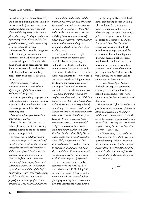the wall to represent Power, Knowledge and Bliss; and likening the threshold of the room to the junction between the '*furthest end and outreach of the sixth plane and the beginning of the seventh plane; the six steps leading up to the door representing the six planes, and the level ground and scenery outside representing the material world.' (p.322)* 

There were fifty-two talks altogether in this training period, each one functional and hard-hitting in a way seemingly designed to dismantle the mind and shake up preconceived ideas. Some of the later talks on the subject of the human form, had similarly precise form and purpose. Baba told the men how,

### *Different degrees of spiritual advancement can be correlated with different parts of the human body, as explained below: (p.276)*

and at this point the passage goes on to define four types – ordinary people; yogis and such who inhabit the astral plane; Sadgurus; and the Majzubs, explaining that,

### *Each of these four types knows in a different way. (p.276)*

The explanation broaches areas of 'subtle physiology' which are usefully explored further by the book's editor/ authors, in Appendix 4.

*By the expression 'subtle physiology' we mean to designate those branches of esoteric spiritual tradition that deal with the symbolic or archetypal significance of the human form. The idea that the human body itself images or mirrors God can be found in the Torah and runs through the history of Judaic and Christian tradition. In Sufi literature, especially in the tradition of the Perfect Master Ibn-al-Arabi, the Perfect Human or 'al-Insan al-Kamil' stands as the perfectly mirrored image of God and the locus for God's fullest Self-disclosure.* 

*… In Hinduism and certain Buddhist traditions the perception that the human form stands as the microcosm to greater domains of spirituality. … When Meher Baba touches on these themes then, he is linking into a vast, sometimes half subterranean, network of interconnecting streams and currents in the great scriptural and esoteric literatures of the world. (p.502)*

The Appendices were compiled to give context and refer to some of Meher Baba's early writings, and in this way further add to the completeness of the book as a whole. The names of Baba lovers listed in the Acknowledgements, those who worked over recent decades to bring the book to life, give the reader a fair idea of the range of talent and experience assembled to tackle the awesome task.

*Scanning and transcription of the originals was done during the 1990s by a team of workers led by Eric Nadel. Bhau Kalchuri took part in the original study and editing. Peter Nordeen and David Fenster provided much assistance in early Meherabad research. Translations from Gujarati, Urdu, Persian and Arabic manuscript sources … were provided by Cyrus and Soumia Khambatta, Rajnikant Mistri, Kushan and Uttan Panchal, Shridar Kelkar, Dolly Dastur, Max Phillips, Jean Gousseff, Fereshteh Azad, Philip Lutgendorf and Carl Ernst and others. The book was edited by Meherwan B Jessawala and Ward Parks, and the book's design and artistic recreation of thirty-three figures are the work of Sheila Krynski. (page xxvii)*

The lectures are featured in dated sequence from end April 1926 to the end of August 1927, filling 398 pages of the book's 687 pages, and a most wonderful selection of archive photographs bring the events of those days into view for the reader. Even a

very early image of Baba in his black kamli coat playing cricket, wielding a bat with terrific style, has been recovered, restored and brought to life in the pages of *Tiffin Lectures*. (see p.273) Places and personalities are identified and quotes from *Chanji's Diaries* and from *The Combined Diaries* are incorporated in brief introductory passages provided for each lecture. The series of figures or diagrams, based on Baba's original rough sketches and reproduced here in colour, are extremely beautiful, each one a small work of art which perfectly serves Baba's choice of this visual device, one he often used to communicate abstract ideas.

Of *Meher Baba's Tiffin Lectures* the book, two separate statements can forgiveably be combined here to sign off a remarkable collaborative commitment by the authors/editors of this book.

*This edition of 'Tiffin Lectures' tries to give to the public the content of this early Meherabad period, in a form that is reliable and readable. Just as those talks served the needs of the great disciples and lovers of God who comprised the Avatar's original circle of listeners, we hope that this book …(see p.465)*

*…will serve many seekers and lovers of God who would like the benefit of the spiritual training Meher Baba gave to his close ones, and that it will constitute a cornerstone in the foundation that he has laid for the civilization of the New Humanity that will arise in the ages to come. (see p.xxvi)* 

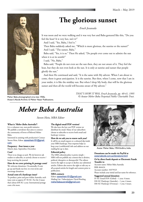

# **The glorious sunset**

*Eruch Jessawala*

It was noon and we were walking and it was very hot and Baba gestured like this, "Do you feel the heat? It is very hot, isn't it?"

And I said, "Yes, Baba, I feel it."

Then Baba suddenly asked me, "Which is more glorious, the sunrise or the sunset?" And I said, "The sunset, Baba."

Baba said, "Yes, it is so." Then He asked, "Do people ever come out to admire the sun when it is at its zenith?"

I said, "No, Baba."

Baba said, "People do not even see the sun then, they are not aware of it. They feel the heat, but they do not even look at the sun. It is only at sunrise and sunset that people glorify the sun."

And then He continued and said, "It is the same with My advent. When I am about to come, there is great anticipation. It is the sunrise. But then, when I come, now that I am in your midst, it is like the midday sun. But when I drop My body, that will be the glorious sunset and then all the world will become aware of My advent."

Avatar's Abode Archive. © Meher Nazar Publications.

*THAT'S HOW IT WAS, Eruch Jessawala, pp. 40-41, 1995*  Meher Baba photographed circa late 1930s. *© Avatar Meher Baba Perpetual Public Charitable Trust.*

# *Meher Baba Australia*

*Steven Hein, MBA Editor*

#### **What is '***Meher Baba Australia***'?**

It is a volunteer run, non-profit initiative. We publish a newsletter that aims to connect the community of lovers of Beloved Meher Baba.

Interested in assisting with production? Contact Steven Hein, Editor. stevenhein 101@gmail. [com](mailto:stevenhein101%40gmail.com?subject=).

#### **Frequency - four issues a year**

March, June, September, December.

#### **Cost?**

There is no charge as such. We do however ask readers to subscribe, to actively choose to receive / keep receiving the journal.

#### **How do we cover printing & postage costs?**

We welcome donations. Occasionally, if costs go up and funds run low, we even invite and encourage donations.

#### **Actual costs of a hardcopy issue?**

To produce, print and post within Australia, each issue costs us approx \$7.50 AU. For the 4 issues that's about \$30 AU a year. International postage costs a bit more.

#### **The digital email PDF version?**

We also have the low cost PDF version we distribute by email. Many of our subscribers choose to subscribe to receive both email and hardcopy versions.

#### **How do we ask you to renew each year?**

It will be an email request or a coloured slip inside your MBA hardcopy. Your response helps us keep your (confidential) info and address on our mailing list up to date.

#### **Editorial policy**

The MBA editorial policy is pretty simple – MBA will not publish any content that is divisive, political, disruptive or disrespectful. The editors reserve the right to accept or decline any submitted articles. Editors also reserve the right to edit any or all accepted articles for length and content prior to publication.

#### **MBA contacts**

Editor: stevenhein 101@gmail.com Mailing List / Subscriptions: David Bowling [meherbabaaustralia@gmail.com](mailto:meherbabaaustralia%40gmail.com?subject=)



Avatar Meher Baba, 1954 Andhra, India.

#### **Donations can be made via PayPal at**  [avatarsabode.com.au/donations.html](http://www.avatarsabode.com.au/donations.html)

#### **Or by direct bank deposit or Electronic Funds Transfer to**

Account name: Meher Baba Australia BSB: 064424 Account number: 10379525 Please include your initial and last name for reference.

#### **Suggested annual donation**

\$5 AU Email PDF (Global) – 1 year, 4 issues. \$30 AU Hardcopy (Australia) – 1 year, 4 issues. \$40 AU Hardcopy (Overseas) – 1 year, 4 issues.